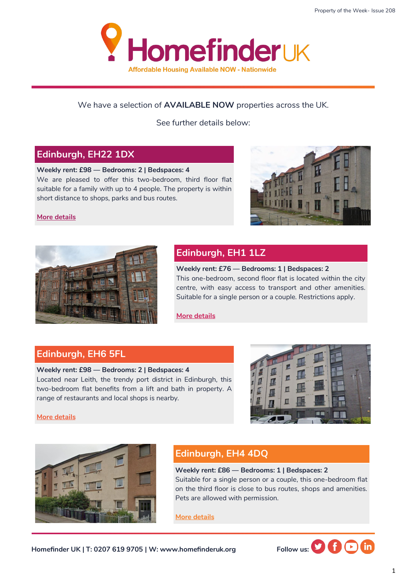

## We have a selection of **AVAILABLE NOW** properties across the UK.

See further details below:

## **Edinburgh, EH22 1DX**

#### **Weekly rent: £98 — Bedrooms: 2 | Bedspaces: 4**

We are pleased to offer this two-bedroom, third floor flat suitable for a family with up to 4 people. The property is within short distance to shops, parks and bus routes.

#### **[More details](https://homefinderuk.org/property-detail/538622661-HF2001664)**





# **Edinburgh, EH1 1LZ**

**Weekly rent: £76 — Bedrooms: 1 | Bedspaces: 2** This one-bedroom, second floor flat is located within the city centre, with easy access to transport and other amenities. Suitable for a single person or a couple. Restrictions apply.

**[More details](https://homefinderuk.org/property-detail/538632552-HF2001665)**

## **Edinburgh, EH6 5FL**

### **Weekly rent: £98 — Bedrooms: 2 | Bedspaces: 4** Located near Leith, the trendy port district in Edinburgh, this two-bedroom flat benefits from a lift and bath in property. A range of restaurants and local shops is nearby.



**[More details](https://homefinderuk.org/property-detail/538632561-HF2001666)**



# **Edinburgh, EH4 4DQ**

**Weekly rent: £86 — Bedrooms: 1 | Bedspaces: 2** Suitable for a single person or a couple, this one-bedroom flat on the third floor is close to bus routes, shops and amenities. Pets are allowed with permission.

**[More details](https://homefinderuk.org/property-detail/538634061-HF2001668)**